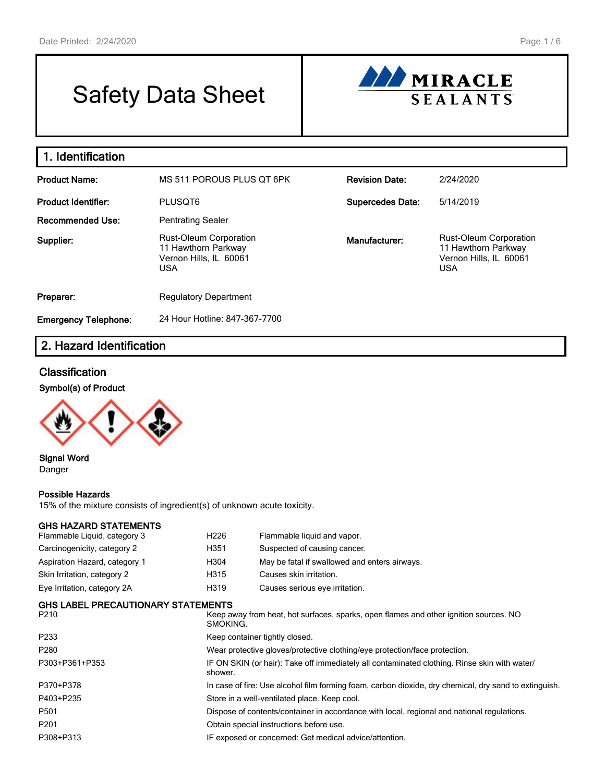# Safety Data Sheet



| 1. Identification           |                                                                                       |                         |                                                                                              |
|-----------------------------|---------------------------------------------------------------------------------------|-------------------------|----------------------------------------------------------------------------------------------|
| <b>Product Name:</b>        | MS 511 POROUS PLUS OT 6PK                                                             | <b>Revision Date:</b>   | 2/24/2020                                                                                    |
| <b>Product Identifier:</b>  | PLUSQT6                                                                               | <b>Supercedes Date:</b> | 5/14/2019                                                                                    |
| <b>Recommended Use:</b>     | <b>Pentrating Sealer</b>                                                              |                         |                                                                                              |
| Supplier:                   | Rust-Oleum Corporation<br>11 Hawthorn Parkway<br>Vernon Hills, IL 60061<br><b>USA</b> | Manufacturer:           | <b>Rust-Oleum Corporation</b><br>11 Hawthorn Parkway<br>Vernon Hills, IL 60061<br><b>USA</b> |
| Preparer:                   | <b>Regulatory Department</b>                                                          |                         |                                                                                              |
| <b>Emergency Telephone:</b> | 24 Hour Hotline: 847-367-7700                                                         |                         |                                                                                              |

# 2. Hazard Identification

## **Classification**

#### Symbol(s) of Product



Signal Word Danger

#### Possible Hazards

15% of the mixture consists of ingredient(s) of unknown acute toxicity.

| <b>GHS HAZARD STATEMENTS</b><br>Flammable Liquid, category 3 | H <sub>226</sub> | Flammable liquid and vapor.                                                                           |  |  |  |
|--------------------------------------------------------------|------------------|-------------------------------------------------------------------------------------------------------|--|--|--|
| Carcinogenicity, category 2                                  | H351             | Suspected of causing cancer.                                                                          |  |  |  |
| Aspiration Hazard, category 1                                | H304             | May be fatal if swallowed and enters airways.                                                         |  |  |  |
| Skin Irritation, category 2                                  | H315             | Causes skin irritation.                                                                               |  |  |  |
| Eye Irritation, category 2A                                  | H319             | Causes serious eye irritation.                                                                        |  |  |  |
| <b>GHS LABEL PRECAUTIONARY STATEMENTS</b>                    |                  |                                                                                                       |  |  |  |
| P210                                                         | SMOKING.         | Keep away from heat, hot surfaces, sparks, open flames and other ignition sources. NO                 |  |  |  |
| P233                                                         |                  | Keep container tightly closed.                                                                        |  |  |  |
| P280                                                         |                  | Wear protective gloves/protective clothing/eye protection/face protection.                            |  |  |  |
| P303+P361+P353                                               | shower.          | IF ON SKIN (or hair): Take off immediately all contaminated clothing. Rinse skin with water/          |  |  |  |
| P370+P378                                                    |                  | In case of fire: Use alcohol film forming foam, carbon dioxide, dry chemical, dry sand to extinguish. |  |  |  |
| P403+P235                                                    |                  | Store in a well-ventilated place. Keep cool.                                                          |  |  |  |
| P501                                                         |                  | Dispose of contents/container in accordance with local, regional and national regulations.            |  |  |  |
| P201                                                         |                  | Obtain special instructions before use.                                                               |  |  |  |
| P308+P313                                                    |                  | IF exposed or concerned: Get medical advice/attention.                                                |  |  |  |
|                                                              |                  |                                                                                                       |  |  |  |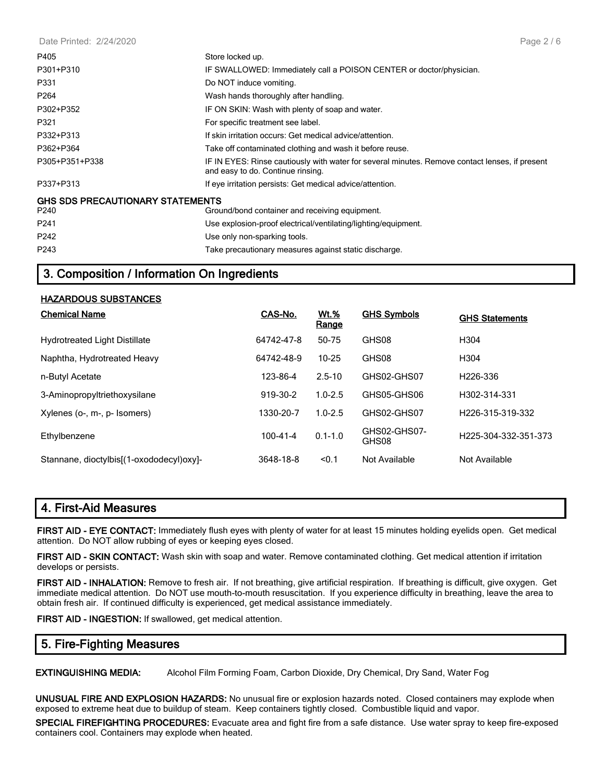Date Printed: 2/24/2020

| P405                                    | Store locked up.                                                                                                                    |
|-----------------------------------------|-------------------------------------------------------------------------------------------------------------------------------------|
| P301+P310                               | IF SWALLOWED: Immediately call a POISON CENTER or doctor/physician.                                                                 |
| P331                                    | Do NOT induce vomiting.                                                                                                             |
| P <sub>264</sub>                        | Wash hands thoroughly after handling.                                                                                               |
| P302+P352                               | IF ON SKIN: Wash with plenty of soap and water.                                                                                     |
| P321                                    | For specific treatment see label.                                                                                                   |
| P332+P313                               | If skin irritation occurs: Get medical advice/attention.                                                                            |
| P362+P364                               | Take off contaminated clothing and wash it before reuse.                                                                            |
| P305+P351+P338                          | IF IN EYES: Rinse cautiously with water for several minutes. Remove contact lenses, if present<br>and easy to do. Continue rinsing. |
| P337+P313                               | If eye irritation persists: Get medical advice/attention.                                                                           |
| <b>GHS SDS PRECAUTIONARY STATEMENTS</b> |                                                                                                                                     |
| P240                                    | Ground/bond container and receiving equipment.                                                                                      |
| P <sub>241</sub>                        | Use explosion-proof electrical/ventilating/lighting/equipment.                                                                      |
| P <sub>242</sub>                        | Use only non-sparking tools.                                                                                                        |
| P243                                    | Take precautionary measures against static discharge.                                                                               |

## 3. Composition / Information On Ingredients

#### HAZARDOUS SUBSTANCES

| <b>Chemical Name</b>                       | CAS-No.        | <b>Wt.%</b><br>Range | <b>GHS Symbols</b>    | <b>GHS Statements</b>         |
|--------------------------------------------|----------------|----------------------|-----------------------|-------------------------------|
| <b>Hydrotreated Light Distillate</b>       | 64742-47-8     | 50-75                | GHS08                 | H <sub>304</sub>              |
| Naphtha, Hydrotreated Heavy                | 64742-48-9     | $10 - 25$            | GHS08                 | H <sub>304</sub>              |
| n-Butyl Acetate                            | 123-86-4       | $2.5 - 10$           | GHS02-GHS07           | H <sub>226</sub> -336         |
| 3-Aminopropyltriethoxysilane               | 919-30-2       | $1.0 - 2.5$          | GHS05-GHS06           | H302-314-331                  |
| Xylenes (o-, m-, p- Isomers)               | 1330-20-7      | $1.0 - 2.5$          | GHS02-GHS07           | H <sub>226</sub> -315-319-332 |
| Ethylbenzene                               | $100 - 41 - 4$ | $0.1 - 1.0$          | GHS02-GHS07-<br>GHS08 | H225-304-332-351-373          |
| Stannane, dioctylbis [(1-oxododecyl) oxyl- | 3648-18-8      | < 0.1                | Not Available         | Not Available                 |

## 4. First-Aid Measures

FIRST AID - EYE CONTACT: Immediately flush eyes with plenty of water for at least 15 minutes holding eyelids open. Get medical attention. Do NOT allow rubbing of eyes or keeping eyes closed.

FIRST AID - SKIN CONTACT: Wash skin with soap and water. Remove contaminated clothing. Get medical attention if irritation develops or persists.

FIRST AID - INHALATION: Remove to fresh air. If not breathing, give artificial respiration. If breathing is difficult, give oxygen. Get immediate medical attention. Do NOT use mouth-to-mouth resuscitation. If you experience difficulty in breathing, leave the area to obtain fresh air. If continued difficulty is experienced, get medical assistance immediately.

FIRST AID - INGESTION: If swallowed, get medical attention.

## 5. Fire-Fighting Measures

EXTINGUISHING MEDIA: Alcohol Film Forming Foam, Carbon Dioxide, Dry Chemical, Dry Sand, Water Fog

UNUSUAL FIRE AND EXPLOSION HAZARDS: No unusual fire or explosion hazards noted. Closed containers may explode when exposed to extreme heat due to buildup of steam. Keep containers tightly closed. Combustible liquid and vapor.

SPECIAL FIREFIGHTING PROCEDURES: Evacuate area and fight fire from a safe distance. Use water spray to keep fire-exposed containers cool. Containers may explode when heated.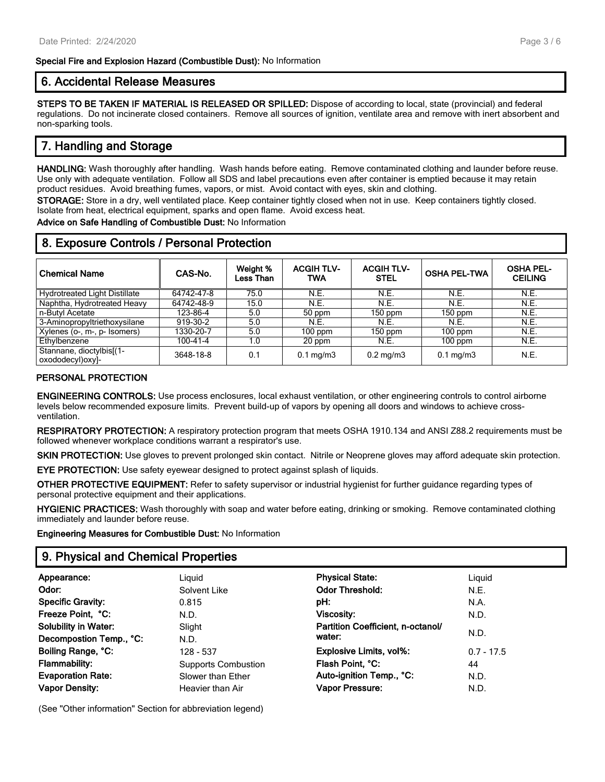#### Special Fire and Explosion Hazard (Combustible Dust): No Information

## 6. Accidental Release Measures

STEPS TO BE TAKEN IF MATERIAL IS RELEASED OR SPILLED: Dispose of according to local, state (provincial) and federal regulations. Do not incinerate closed containers. Remove all sources of ignition, ventilate area and remove with inert absorbent and non-sparking tools.

## 7. Handling and Storage

HANDLING: Wash thoroughly after handling. Wash hands before eating. Remove contaminated clothing and launder before reuse. Use only with adequate ventilation. Follow all SDS and label precautions even after container is emptied because it may retain product residues. Avoid breathing fumes, vapors, or mist. Avoid contact with eyes, skin and clothing.

STORAGE: Store in a dry, well ventilated place. Keep container tightly closed when not in use. Keep containers tightly closed. Isolate from heat, electrical equipment, sparks and open flame. Avoid excess heat.

Advice on Safe Handling of Combustible Dust: No Information

| 8. Exposure Controls / Personal Protection   |            |                              |                          |                                  |                     |                                    |  |  |
|----------------------------------------------|------------|------------------------------|--------------------------|----------------------------------|---------------------|------------------------------------|--|--|
| <b>Chemical Name</b>                         | CAS-No.    | Weight %<br><b>Less Than</b> | <b>ACGIH TLV-</b><br>TWA | <b>ACGIH TLV-</b><br><b>STEL</b> | <b>OSHA PEL-TWA</b> | <b>OSHA PEL-</b><br><b>CEILING</b> |  |  |
| <b>Hydrotreated Light Distillate</b>         | 64742-47-8 | 75.0                         | N.E.                     | N.E.                             | N.E.                | N.E.                               |  |  |
| Naphtha, Hydrotreated Heavy                  | 64742-48-9 | 15.0                         | N.E.                     | N.E.                             | N.E.                | N.E.                               |  |  |
| n-Butyl Acetate                              | 123-86-4   | 5.0                          | 50 ppm                   | 150 ppm                          | $150$ ppm           | N.E.                               |  |  |
| 3-Aminopropyltriethoxysilane                 | 919-30-2   | 5.0                          | N.E.                     | N.E.                             | N.E.                | N.E.                               |  |  |
| Xylenes (o-, m-, p- Isomers)                 | 1330-20-7  | 5.0                          | $100$ ppm                | $150$ ppm                        | $100$ ppm           | N.E.                               |  |  |
| Ethylbenzene                                 | 100-41-4   | 1.0                          | 20 ppm                   | N.E.                             | $100$ ppm           | N.E.                               |  |  |
| Stannane, dioctylbis[(1-<br>oxododecyl)oxyl- | 3648-18-8  | 0.1                          | $0.1 \text{ mg/m}$       | $0.2 \text{ mg/m}$               | $0.1 \text{ mg/m}$  | N.E.                               |  |  |

#### PERSONAL PROTECTION

ENGINEERING CONTROLS: Use process enclosures, local exhaust ventilation, or other engineering controls to control airborne levels below recommended exposure limits. Prevent build-up of vapors by opening all doors and windows to achieve crossventilation.

RESPIRATORY PROTECTION: A respiratory protection program that meets OSHA 1910.134 and ANSI Z88.2 requirements must be followed whenever workplace conditions warrant a respirator's use.

SKIN PROTECTION: Use gloves to prevent prolonged skin contact. Nitrile or Neoprene gloves may afford adequate skin protection.

EYE PROTECTION: Use safety eyewear designed to protect against splash of liquids.

OTHER PROTECTIVE EQUIPMENT: Refer to safety supervisor or industrial hygienist for further guidance regarding types of personal protective equipment and their applications.

HYGIENIC PRACTICES: Wash thoroughly with soap and water before eating, drinking or smoking. Remove contaminated clothing immediately and launder before reuse.

Engineering Measures for Combustible Dust: No Information

## 9. Physical and Chemical Properties

| Appearance:                 | Liauid                     | <b>Physical State:</b>            | Liguid       |
|-----------------------------|----------------------------|-----------------------------------|--------------|
| Odor:                       | Solvent Like               | <b>Odor Threshold:</b>            | N.E.         |
| <b>Specific Gravity:</b>    | 0.815                      | pH:                               | N.A.         |
| Freeze Point, °C:           | N.D.                       | Viscosity:                        | N.D.         |
| <b>Solubility in Water:</b> | Slight                     | Partition Coefficient, n-octanol/ |              |
| Decompostion Temp., °C:     | N.D.                       | water:                            | N.D.         |
| Boiling Range, °C:          | 128 - 537                  | <b>Explosive Limits, vol%:</b>    | $0.7 - 17.5$ |
| <b>Flammability:</b>        | <b>Supports Combustion</b> | Flash Point, °C:                  | 44           |
| <b>Evaporation Rate:</b>    | Slower than Ether          | Auto-ignition Temp., °C:          | N.D.         |
| <b>Vapor Density:</b>       | Heavier than Air           | Vapor Pressure:                   | N.D.         |

(See "Other information" Section for abbreviation legend)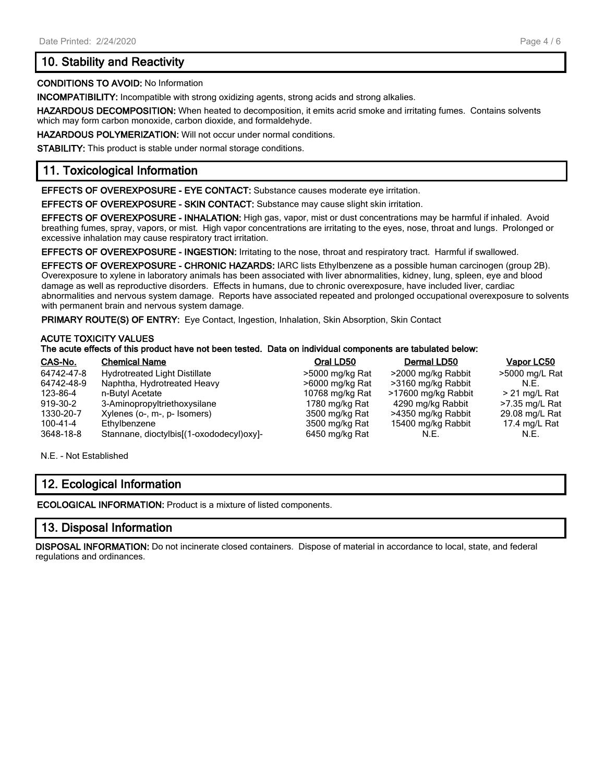## 10. Stability and Reactivity

#### CONDITIONS TO AVOID: No Information

INCOMPATIBILITY: Incompatible with strong oxidizing agents, strong acids and strong alkalies.

HAZARDOUS DECOMPOSITION: When heated to decomposition, it emits acrid smoke and irritating fumes. Contains solvents which may form carbon monoxide, carbon dioxide, and formaldehyde.

HAZARDOUS POLYMERIZATION: Will not occur under normal conditions.

STABILITY: This product is stable under normal storage conditions.

## 11. Toxicological Information

EFFECTS OF OVEREXPOSURE - EYE CONTACT: Substance causes moderate eye irritation.

EFFECTS OF OVEREXPOSURE - SKIN CONTACT: Substance may cause slight skin irritation.

EFFECTS OF OVEREXPOSURE - INHALATION: High gas, vapor, mist or dust concentrations may be harmful if inhaled. Avoid breathing fumes, spray, vapors, or mist. High vapor concentrations are irritating to the eyes, nose, throat and lungs. Prolonged or excessive inhalation may cause respiratory tract irritation.

EFFECTS OF OVEREXPOSURE - INGESTION: Irritating to the nose, throat and respiratory tract. Harmful if swallowed.

EFFECTS OF OVEREXPOSURE - CHRONIC HAZARDS: IARC lists Ethylbenzene as a possible human carcinogen (group 2B). Overexposure to xylene in laboratory animals has been associated with liver abnormalities, kidney, lung, spleen, eye and blood damage as well as reproductive disorders. Effects in humans, due to chronic overexposure, have included liver, cardiac abnormalities and nervous system damage. Reports have associated repeated and prolonged occupational overexposure to solvents with permanent brain and nervous system damage.

PRIMARY ROUTE(S) OF ENTRY: Eye Contact, Ingestion, Inhalation, Skin Absorption, Skin Contact

#### ACUTE TOXICITY VALUES

#### The acute effects of this product have not been tested. Data on individual components are tabulated below:

| CAS-No.    | <b>Chemical Name</b>                     | Oral LD50       | Dermal LD50         | Vapor LC50      |
|------------|------------------------------------------|-----------------|---------------------|-----------------|
| 64742-47-8 | <b>Hydrotreated Light Distillate</b>     | >5000 mg/kg Rat | >2000 mg/kg Rabbit  | >5000 mg/L Rat  |
| 64742-48-9 | Naphtha, Hydrotreated Heavy              | >6000 mg/kg Rat | >3160 mg/kg Rabbit  | N.E.            |
| 123-86-4   | n-Butyl Acetate                          | 10768 mg/kg Rat | >17600 mg/kg Rabbit | $>$ 21 mg/L Rat |
| 919-30-2   | 3-Aminopropyltriethoxysilane             | 1780 mg/kg Rat  | 4290 mg/kg Rabbit   | >7.35 mg/L Rat  |
| 1330-20-7  | Xylenes (o-, m-, p- Isomers)             | 3500 mg/kg Rat  | >4350 mg/kg Rabbit  | 29.08 mg/L Rat  |
| 100-41-4   | Ethylbenzene                             | 3500 mg/kg Rat  | 15400 mg/kg Rabbit  | 17.4 mg/L Rat   |
| 3648-18-8  | Stannane, dioctylbis[(1-oxododecyl)oxyl- | 6450 mg/kg Rat  | N.E.                | N.E.            |

N.E. - Not Established

## 12. Ecological Information

ECOLOGICAL INFORMATION: Product is a mixture of listed components.

## 13. Disposal Information

DISPOSAL INFORMATION: Do not incinerate closed containers. Dispose of material in accordance to local, state, and federal regulations and ordinances.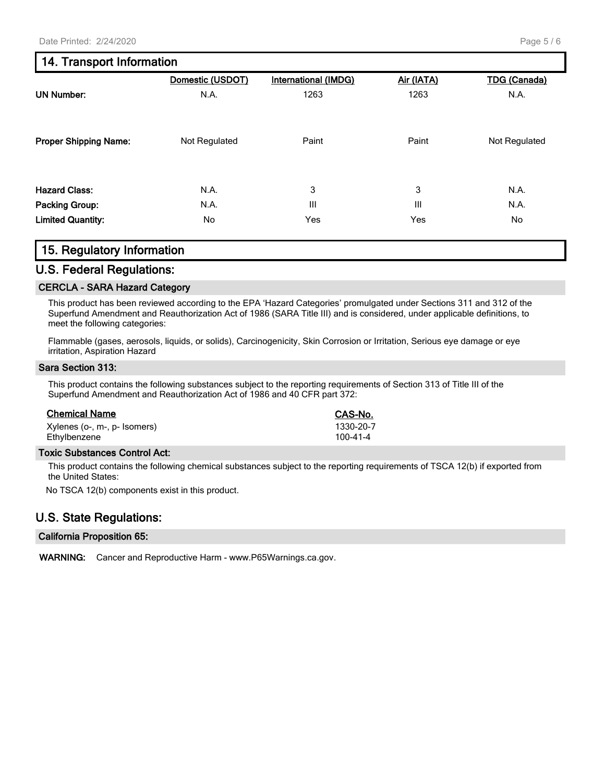## 14. Transport Information

|                              | Domestic (USDOT) | International (IMDG) | Air (IATA) | <b>TDG</b> (Canada) |
|------------------------------|------------------|----------------------|------------|---------------------|
| <b>UN Number:</b>            | N.A.             | 1263                 | 1263       | N.A.                |
| <b>Proper Shipping Name:</b> | Not Regulated    | Paint                | Paint      | Not Regulated       |
| <b>Hazard Class:</b>         | N.A.             | 3                    | 3          | N.A.                |
| Packing Group:               | N.A.             | Ш                    | Ш          | N.A.                |
| <b>Limited Quantity:</b>     | No               | Yes                  | Yes        | No                  |

## 15. Regulatory Information

#### U.S. Federal Regulations:

#### CERCLA - SARA Hazard Category

This product has been reviewed according to the EPA 'Hazard Categories' promulgated under Sections 311 and 312 of the Superfund Amendment and Reauthorization Act of 1986 (SARA Title III) and is considered, under applicable definitions, to meet the following categories:

Flammable (gases, aerosols, liquids, or solids), Carcinogenicity, Skin Corrosion or Irritation, Serious eye damage or eye irritation, Aspiration Hazard

#### Sara Section 313:

This product contains the following substances subject to the reporting requirements of Section 313 of Title III of the Superfund Amendment and Reauthorization Act of 1986 and 40 CFR part 372:

| Xylenes (o-, m-, p- Isomers) | 1330-20- |
|------------------------------|----------|
| Ethylbenzene                 | 100-41-4 |

#### Toxic Substances Control Act:

This product contains the following chemical substances subject to the reporting requirements of TSCA 12(b) if exported from the United States:

CAS-No. 1330-20-7<br>100-41-4

No TSCA 12(b) components exist in this product.

## U.S. State Regulations:

#### California Proposition 65:

WARNING: Cancer and Reproductive Harm - www.P65Warnings.ca.gov.